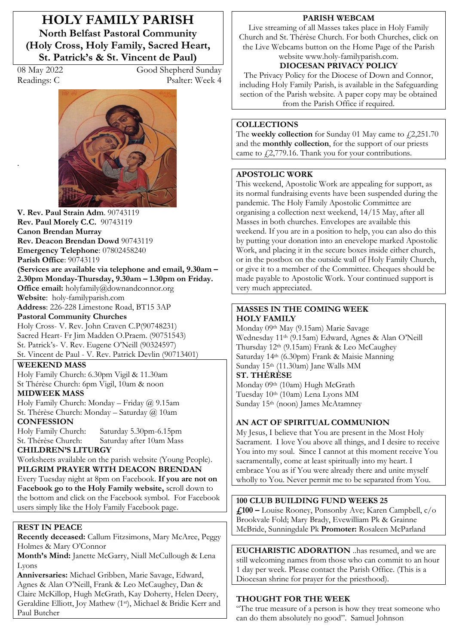**HOLY FAMILY PARISH North Belfast Pastoral Community (Holy Cross, Holy Family, Sacred Heart, St. Patrick's & St. Vincent de Paul)** 

.

08 May 2022 Good Shepherd Sunday Readings: C Psalter: Week 4



**V. Rev. Paul Strain Adm**. 90743119 **Rev. Paul Morely C.C.** 90743119 **Canon Brendan Murray Rev. Deacon Brendan Dowd** 90743119 **Emergency Telephone**: 07802458240 **Parish Office**: 90743119 **(Services are available via telephone and email, 9.30am –** 2.30pm Monday-Thursday, 9.30am – 1.30pm on Friday. **Office email:** holyfamily@downandconnor.org **Website**: holy-familyparish.com **Address**: 226-228 Limestone Road, BT15 3AP **Pastoral Community Churches** Holy Cross- V. Rev. John Craven C.P(90748231)

Sacred Heart- Fr Jim Madden O.Praem. (90751543) St. Patrick's- V. Rev. Eugene O'Neill (90324597) St. Vincent de Paul - V. Rev. Patrick Devlin (90713401)

**WEEKEND MASS** 

Holy Family Church: 6.30pm Vigil & 11.30am St Thérèse Church: 6pm Vigil, 10am & noon

## **MIDWEEK MASS**

Holy Family Church: Monday - Friday  $\omega$  9.15am St. Thérèse Church: Monday - Saturday @ 10am **CONFESSION**

Holy Family Church: Saturday 5.30pm-6.15pm Saturday after 10am Mass **CHILDREN·S LITURGY** 

Worksheets available on the parish website (Young People).

**PILGRIM PRAYER WITH DEACON BRENDAN** Every Tuesday night at 8pm on Facebook. **If you are not on Facebook go to the Holy Family website,** scroll down to the bottom and click on the Facebook symbol. For Facebook users simply like the Holy Family Facebook page.

## **REST IN PEACE**

**Recently deceased:** Callum Fitzsimons, Mary McAree, Peggy Holmes & Mary O'Connor

Month's Mind: Janette McGarry, Niall McCullough & Lena Lyons

**Anniversaries:** Michael Gribben, Marie Savage, Edward, Agnes & Alan O'Neill, Frank & Leo McCaughey, Dan & Claire McKillop, Hugh McGrath, Kay Doherty, Helen Deery, Geraldine Elliott, Joy Mathew (1st), Michael & Bridie Kerr and Paul Butcher

### **PARISH WEBCAM**

Live streaming of all Masses takes place in Holy Family Church and St. Thérèse Church. For both Churches, click on the Live Webcams button on the Home Page of the Parish website www.holy-familyparish.com.

# **DIOCESAN PRIVACY POLICY**

The Privacy Policy for the Diocese of Down and Connor, including Holy Family Parish, is available in the Safeguarding section of the Parish website. A paper copy may be obtained from the Parish Office if required.

## **COLLECTIONS**

The **weekly collection** for Sunday 01 May came to  $f(2,251.70)$ and the **monthly collection**, for the support of our priests came to  $\frac{27779.16}{.}$  Thank you for your contributions.

### **APOSTOLIC WORK**

This weekend, Apostolic Work are appealing for support, as its normal fundraising events have been suspended during the pandemic. The Holy Family Apostolic Committee are organising a collection next weekend, 14/15 May, after all Masses in both churches. Envelopes are available this weekend. If you are in a position to help, you can also do this by putting your donation into an enevelope marked Apostolic Work, and placing it in the secure boxes inside either church, or in the postbox on the outside wall of Holy Family Church, or give it to a member of the Committee. Cheques should be made payable to Apostolic Work. Your continued support is very much appreciated.

### **MASSES IN THE COMING WEEK HOLY FAMILY**

Monday 09th May (9.15am) Marie Savage Wednesday 11<sup>th</sup> (9.15am) Edward, Agnes & Alan O'Neill Thursday  $12<sup>th</sup>$  (9.15am) Frank & Leo McCaughey Saturday 14th (6.30pm) Frank & Maisie Manning Sunday 15<sup>th</sup> (11.30am) Jane Walls MM

# **ST. THÉRÈSE**

Monday 09th (10am) Hugh McGrath Tuesday 10th (10am) Lena Lyons MM Sunday 15th (noon) James McAtamney

## **AN ACT OF SPIRITUAL COMMUNION**

My Jesus, I believe that You are present in the Most Holy Sacrament. I love You above all things, and I desire to receive You into my soul. Since I cannot at this moment receive You sacramentally, come at least spiritually into my heart. I embrace You as if You were already there and unite myself wholly to You. Never permit me to be separated from You.

## **100 CLUB BUILDING FUND WEEKS 25**

**£100 ²** Louise Rooney, Ponsonby Ave; Karen Campbell, c/o Brookvale Fold; Mary Brady, Evewilliam Pk & Grainne McBride, Sunningdale Pk **Promoter:** Rosaleen McParland

**EUCHARISTIC ADORATION** ..has resumed, and we are still welcoming names from those who can commit to an hour 1 day per week. Please contact the Parish Office. (This is a Diocesan shrine for prayer for the priesthood).

## **THOUGHT FOR THE WEEK**

´The true measure of a person is how they treat someone who can do them absolutely no good". Samuel Johnson